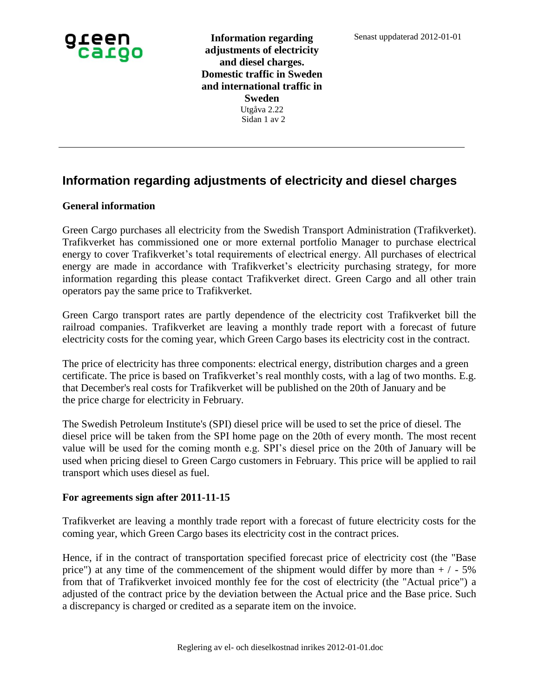

**Information regarding adjustments of electricity and diesel charges. Domestic traffic in Sweden and international traffic in Sweden** Utgåva 2.22 Sidan 1 av 2

## **Information regarding adjustments of electricity and diesel charges**

## **General information**

Green Cargo purchases all electricity from the Swedish Transport Administration (Trafikverket). Trafikverket has commissioned one or more external portfolio Manager to purchase electrical energy to cover Trafikverket's total requirements of electrical energy. All purchases of electrical energy are made in accordance with Trafikverket's electricity purchasing strategy, for more information regarding this please contact Trafikverket direct. Green Cargo and all other train operators pay the same price to Trafikverket.

Green Cargo transport rates are partly dependence of the electricity cost Trafikverket bill the railroad companies. Trafikverket are leaving a monthly trade report with a forecast of future electricity costs for the coming year, which Green Cargo bases its electricity cost in the contract.

The price of electricity has three components: electrical energy, distribution charges and a green certificate. The price is based on Trafikverket's real monthly costs, with a lag of two months. E.g. that December's real costs for Trafikverket will be published on the 20th of January and be the price charge for electricity in February.

The Swedish Petroleum Institute's (SPI) diesel price will be used to set the price of diesel. The diesel price will be taken from the SPI home page on the 20th of every month. The most recent value will be used for the coming month e.g. SPI's diesel price on the 20th of January will be used when pricing diesel to Green Cargo customers in February. This price will be applied to rail transport which uses diesel as fuel.

## **For agreements sign after 2011-11-15**

Trafikverket are leaving a monthly trade report with a forecast of future electricity costs for the coming year, which Green Cargo bases its electricity cost in the contract prices.

Hence, if in the contract of transportation specified forecast price of electricity cost (the "Base price") at any time of the commencement of the shipment would differ by more than  $+/-5\%$ from that of Trafikverket invoiced monthly fee for the cost of electricity (the "Actual price") a adjusted of the contract price by the deviation between the Actual price and the Base price. Such a discrepancy is charged or credited as a separate item on the invoice.